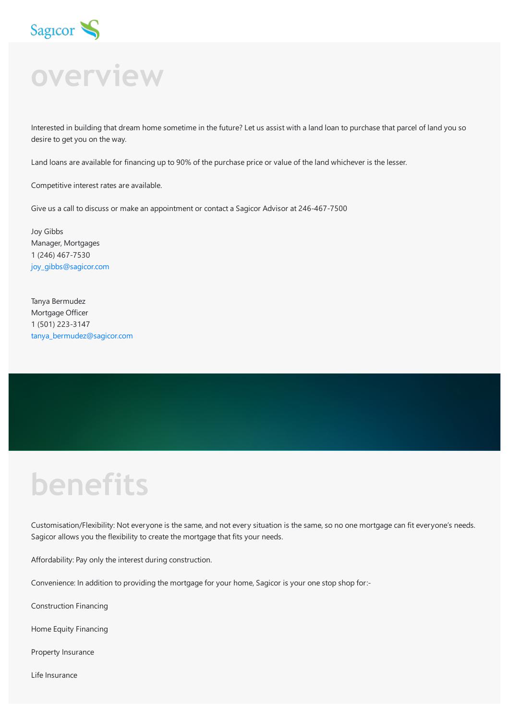

# Sag<sub>roor</sub>

Interested in building that dream home sometime in the future? Let us assist with a land loan to purchase that parcel of land you so desire to get you on the way.

Land loans are available for financing up to 90% of the purchase price or value of the land whichever is the lesser.

Competitive interest rates are available.

Give us a call to discuss or make an appointment or contact a Sagicor Advisor at 246-467-7500

Joy Gibbs Manager, Mortgages 1 (246) 467-7530 [joy\\_gibbs@sagicor.com](mailto:joy_gibbs@sagicor.com?subject=I%20am%20Interested%20in%20a%20Mortgage)

Tanya Bermudez Mortgage Officer 1 (501) 223-3147 [tanya\\_bermudez@sagicor.com](mailto:tanya_bermudez@sagicor.com)

## **benefits**

Customisation/Flexibility: Not everyone is the same, and not every situation is the same, so no one mortgage can fit everyone's needs. Sagicor allows you the flexibility to create the mortgage that fits your needs.

Affordability: Pay only the interest during construction.

Convenience: In addition to providing the mortgage for your home, Sagicor is your one stop shop for:-

Construction Financing

Home Equity Financing

Property Insurance

Life Insurance